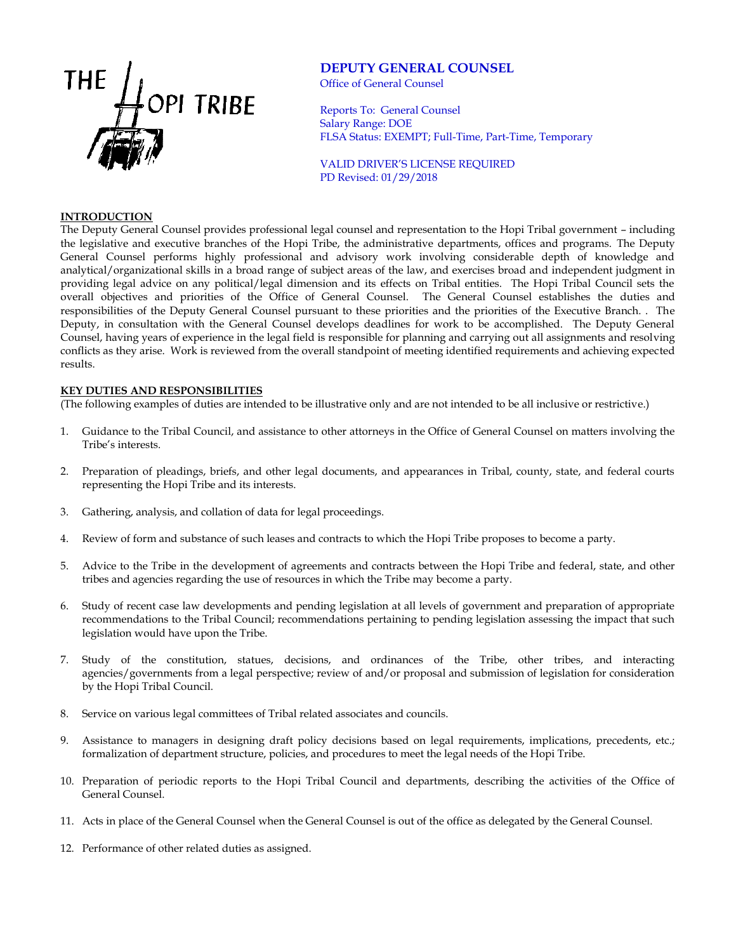

# **DEPUTY GENERAL COUNSEL**

Office of General Counsel

Reports To: General Counsel Salary Range: DOE FLSA Status: EXEMPT; Full-Time, Part-Time, Temporary

VALID DRIVER'S LICENSE REQUIRED PD Revised: 01/29/2018

### **INTRODUCTION**

The Deputy General Counsel provides professional legal counsel and representation to the Hopi Tribal government – including the legislative and executive branches of the Hopi Tribe, the administrative departments, offices and programs. The Deputy General Counsel performs highly professional and advisory work involving considerable depth of knowledge and analytical/organizational skills in a broad range of subject areas of the law, and exercises broad and independent judgment in providing legal advice on any political/legal dimension and its effects on Tribal entities. The Hopi Tribal Council sets the overall objectives and priorities of the Office of General Counsel. The General Counsel establishes the duties and responsibilities of the Deputy General Counsel pursuant to these priorities and the priorities of the Executive Branch. . The Deputy, in consultation with the General Counsel develops deadlines for work to be accomplished. The Deputy General Counsel, having years of experience in the legal field is responsible for planning and carrying out all assignments and resolving conflicts as they arise. Work is reviewed from the overall standpoint of meeting identified requirements and achieving expected results.

### **KEY DUTIES AND RESPONSIBILITIES**

(The following examples of duties are intended to be illustrative only and are not intended to be all inclusive or restrictive.)

- 1. Guidance to the Tribal Council, and assistance to other attorneys in the Office of General Counsel on matters involving the Tribe's interests.
- 2. Preparation of pleadings, briefs, and other legal documents, and appearances in Tribal, county, state, and federal courts representing the Hopi Tribe and its interests.
- 3. Gathering, analysis, and collation of data for legal proceedings.
- 4. Review of form and substance of such leases and contracts to which the Hopi Tribe proposes to become a party.
- 5. Advice to the Tribe in the development of agreements and contracts between the Hopi Tribe and federal, state, and other tribes and agencies regarding the use of resources in which the Tribe may become a party.
- 6. Study of recent case law developments and pending legislation at all levels of government and preparation of appropriate recommendations to the Tribal Council; recommendations pertaining to pending legislation assessing the impact that such legislation would have upon the Tribe.
- 7. Study of the constitution, statues, decisions, and ordinances of the Tribe, other tribes, and interacting agencies/governments from a legal perspective; review of and/or proposal and submission of legislation for consideration by the Hopi Tribal Council.
- 8. Service on various legal committees of Tribal related associates and councils.
- 9. Assistance to managers in designing draft policy decisions based on legal requirements, implications, precedents, etc.; formalization of department structure, policies, and procedures to meet the legal needs of the Hopi Tribe.
- 10. Preparation of periodic reports to the Hopi Tribal Council and departments, describing the activities of the Office of General Counsel.
- 11. Acts in place of the General Counsel when the General Counsel is out of the office as delegated by the General Counsel.
- 12. Performance of other related duties as assigned.